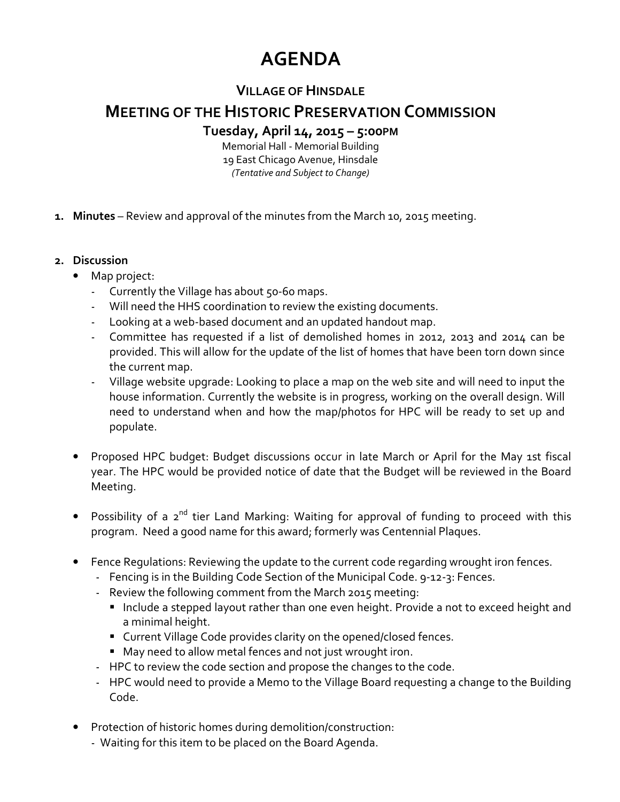## **AGENDA**

## **VILLAGE OF HINSDALE**

## **MEETING OF THE HISTORIC PRESERVATION COMMISSION**

**Tuesday, April 14, 2015 – 5:00PM**

Memorial Hall - Memorial Building 19 East Chicago Avenue, Hinsdale *(Tentative and Subject to Change)* 

- **1. Minutes** Review and approval of the minutes from the March 10, 2015 meeting.
- **2. Discussion** 
	- Map project:
		- Currently the Village has about 50-60 maps.
		- Will need the HHS coordination to review the existing documents.
		- Looking at a web-based document and an updated handout map.
		- Committee has requested if a list of demolished homes in 2012, 2013 and 2014 can be provided. This will allow for the update of the list of homes that have been torn down since the current map.
		- Village website upgrade: Looking to place a map on the web site and will need to input the house information. Currently the website is in progress, working on the overall design. Will need to understand when and how the map/photos for HPC will be ready to set up and populate.
	- Proposed HPC budget: Budget discussions occur in late March or April for the May 1st fiscal year. The HPC would be provided notice of date that the Budget will be reviewed in the Board Meeting.
	- Possibility of a 2<sup>nd</sup> tier Land Marking: Waiting for approval of funding to proceed with this program. Need a good name for this award; formerly was Centennial Plaques.
	- Fence Regulations: Reviewing the update to the current code regarding wrought iron fences.
		- Fencing is in the Building Code Section of the Municipal Code. 9-12-3: Fences.
		- Review the following comment from the March 2015 meeting:
			- Include a stepped layout rather than one even height. Provide a not to exceed height and a minimal height.
			- Current Village Code provides clarity on the opened/closed fences.
			- May need to allow metal fences and not just wrought iron.
		- HPC to review the code section and propose the changes to the code.
		- HPC would need to provide a Memo to the Village Board requesting a change to the Building Code.
	- Protection of historic homes during demolition/construction:
		- Waiting for this item to be placed on the Board Agenda.